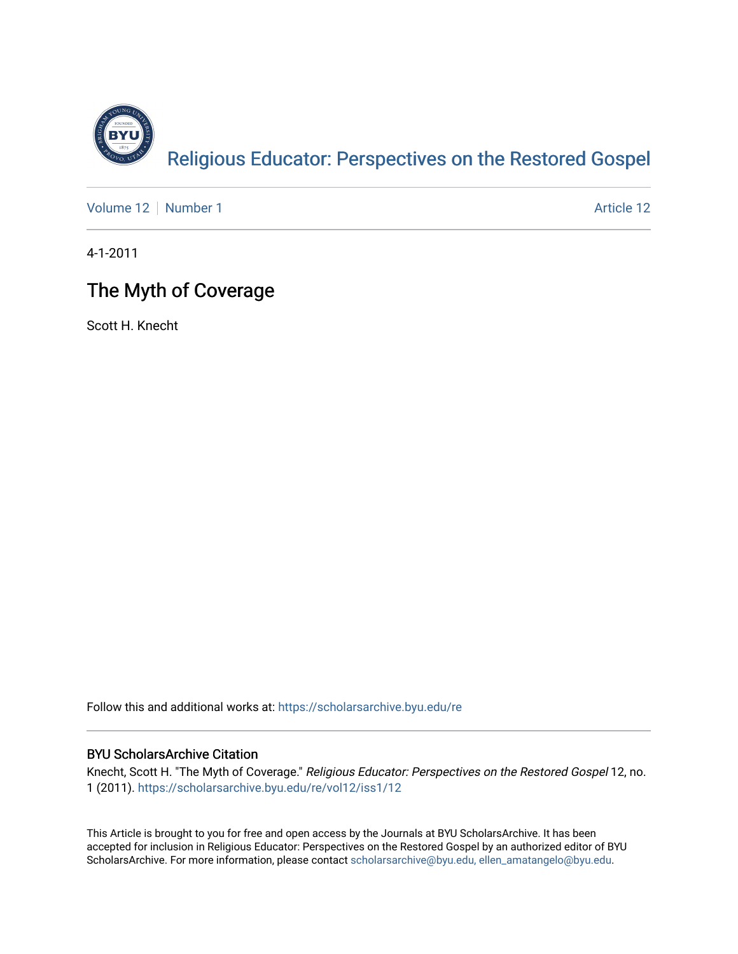

[Volume 12](https://scholarsarchive.byu.edu/re/vol12) [Number 1](https://scholarsarchive.byu.edu/re/vol12/iss1) Article 12

4-1-2011

# The Myth of Coverage

Scott H. Knecht

Follow this and additional works at: [https://scholarsarchive.byu.edu/re](https://scholarsarchive.byu.edu/re?utm_source=scholarsarchive.byu.edu%2Fre%2Fvol12%2Fiss1%2F12&utm_medium=PDF&utm_campaign=PDFCoverPages)

## BYU ScholarsArchive Citation

Knecht, Scott H. "The Myth of Coverage." Religious Educator: Perspectives on the Restored Gospel 12, no. 1 (2011). [https://scholarsarchive.byu.edu/re/vol12/iss1/12](https://scholarsarchive.byu.edu/re/vol12/iss1/12?utm_source=scholarsarchive.byu.edu%2Fre%2Fvol12%2Fiss1%2F12&utm_medium=PDF&utm_campaign=PDFCoverPages)

This Article is brought to you for free and open access by the Journals at BYU ScholarsArchive. It has been accepted for inclusion in Religious Educator: Perspectives on the Restored Gospel by an authorized editor of BYU ScholarsArchive. For more information, please contact [scholarsarchive@byu.edu, ellen\\_amatangelo@byu.edu.](mailto:scholarsarchive@byu.edu,%20ellen_amatangelo@byu.edu)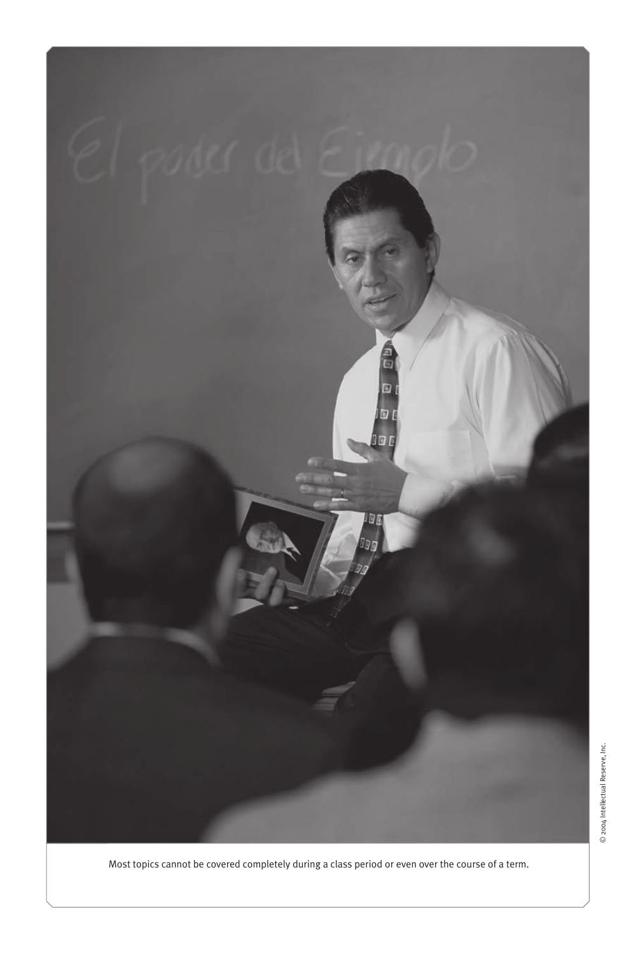

Most topics cannot be covered completely during a class period or even over the course of a term.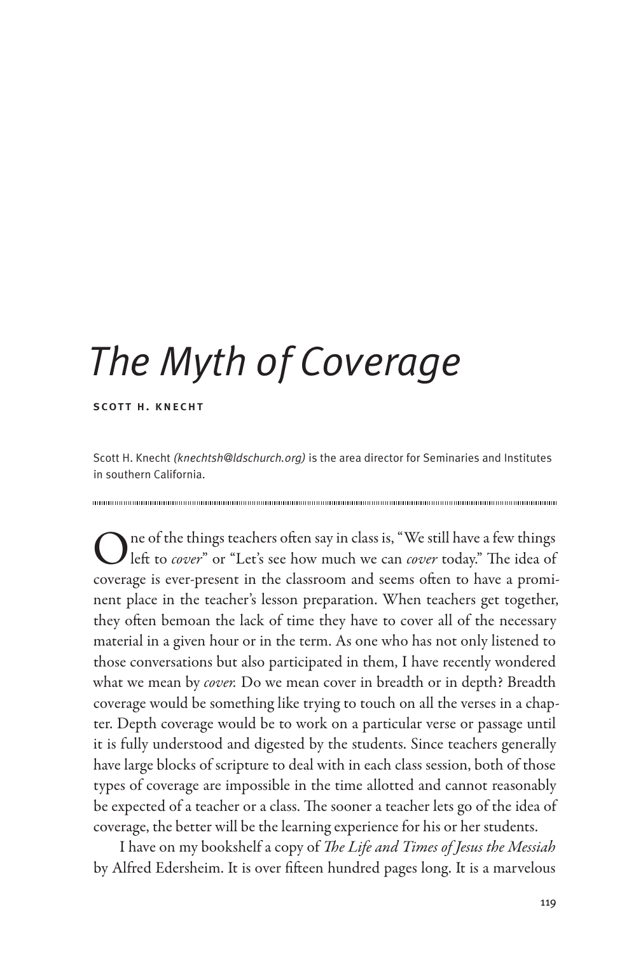# *The Myth of Coverage*

scott h. knecht

Scott H. Knecht *(knechtsh@ldschurch.org)* is the area director for Seminaries and Institutes in southern California.

One of the things teachers often say in class is, "We still have a few things left to *cover*" or "Let's see how much we can *cover* today." The idea of coverage is ever-present in the classroom and seems often to have a prominent place in the teacher's lesson preparation. When teachers get together, they often bemoan the lack of time they have to cover all of the necessary material in a given hour or in the term. As one who has not only listened to those conversations but also participated in them, I have recently wondered what we mean by *cover.* Do we mean cover in breadth or in depth? Breadth coverage would be something like trying to touch on all the verses in a chapter. Depth coverage would be to work on a particular verse or passage until it is fully understood and digested by the students. Since teachers generally have large blocks of scripture to deal with in each class session, both of those types of coverage are impossible in the time allotted and cannot reasonably be expected of a teacher or a class. The sooner a teacher lets go of the idea of coverage, the better will be the learning experience for his or her students.

I have on my bookshelf a copy of *The Life and Times of Jesus the Messiah* by Alfred Edersheim. It is over fifteen hundred pages long. It is a marvelous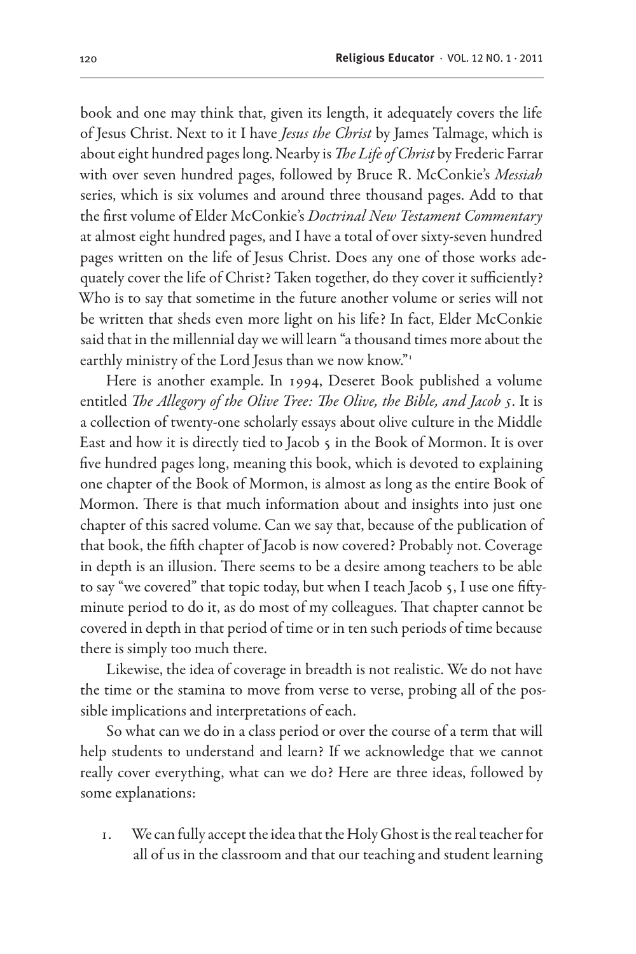book and one may think that, given its length, it adequately covers the life of Jesus Christ. Next to it I have *Jesus the Christ* by James Talmage, which is about eight hundred pages long. Nearby is *The Life of Christ* by Frederic Farrar with over seven hundred pages, followed by Bruce R. McConkie's *Messiah* series, which is six volumes and around three thousand pages. Add to that the first volume of Elder McConkie's *Doctrinal New Testament Commentary* at almost eight hundred pages, and I have a total of over sixty-seven hundred pages written on the life of Jesus Christ. Does any one of those works adequately cover the life of Christ? Taken together, do they cover it sufficiently? Who is to say that sometime in the future another volume or series will not be written that sheds even more light on his life? In fact, Elder McConkie said that in the millennial day we will learn "a thousand times more about the earthly ministry of the Lord Jesus than we now know."<sup>1</sup>

Here is another example. In 1994, Deseret Book published a volume entitled *The Allegory of the Olive Tree: The Olive, the Bible, and Jacob 5*. It is a collection of twenty-one scholarly essays about olive culture in the Middle East and how it is directly tied to Jacob 5 in the Book of Mormon. It is over five hundred pages long, meaning this book, which is devoted to explaining one chapter of the Book of Mormon, is almost as long as the entire Book of Mormon. There is that much information about and insights into just one chapter of this sacred volume. Can we say that, because of the publication of that book, the fifth chapter of Jacob is now covered? Probably not. Coverage in depth is an illusion. There seems to be a desire among teachers to be able to say "we covered" that topic today, but when I teach Jacob 5, I use one fiftyminute period to do it, as do most of my colleagues. That chapter cannot be covered in depth in that period of time or in ten such periods of time because there is simply too much there.

Likewise, the idea of coverage in breadth is not realistic. We do not have the time or the stamina to move from verse to verse, probing all of the possible implications and interpretations of each.

So what can we do in a class period or over the course of a term that will help students to understand and learn? If we acknowledge that we cannot really cover everything, what can we do? Here are three ideas, followed by some explanations:

1. We can fully accept the idea that the Holy Ghost is the real teacher for all of us in the classroom and that our teaching and student learning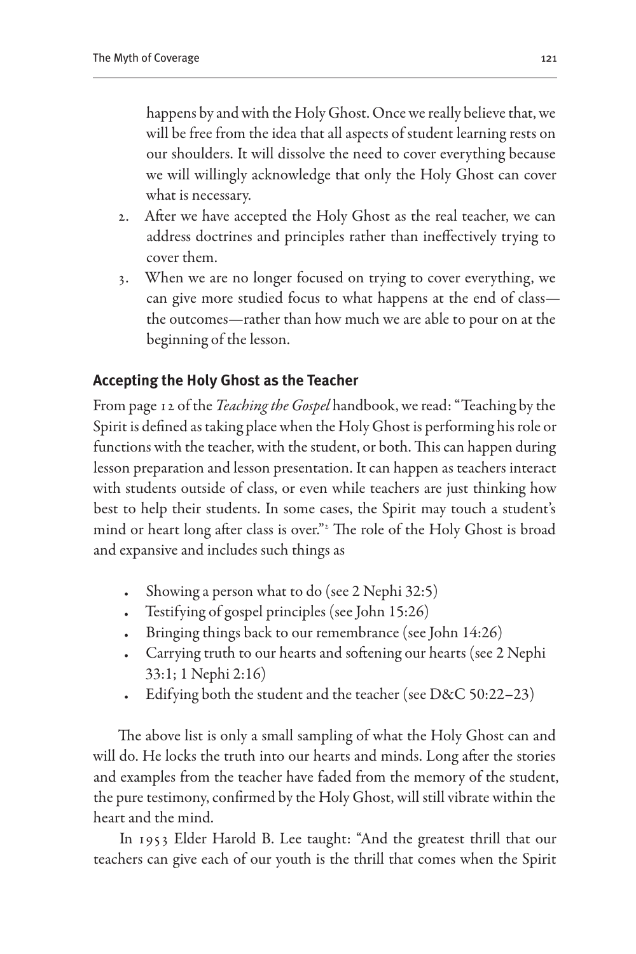happens by and with the Holy Ghost. Once we really believe that, we will be free from the idea that all aspects of student learning rests on our shoulders. It will dissolve the need to cover everything because we will willingly acknowledge that only the Holy Ghost can cover what is necessary.

- 2. After we have accepted the Holy Ghost as the real teacher, we can address doctrines and principles rather than ineffectively trying to cover them.
- 3. When we are no longer focused on trying to cover everything, we can give more studied focus to what happens at the end of class the outcomes—rather than how much we are able to pour on at the beginning of the lesson.

## **Accepting the Holy Ghost as the Teacher**

From page 12 of the *Teaching the Gospel* handbook, we read: "Teaching by the Spirit is defined as taking place when the Holy Ghost is performing his role or functions with the teacher, with the student, or both. This can happen during lesson preparation and lesson presentation. It can happen as teachers interact with students outside of class, or even while teachers are just thinking how best to help their students. In some cases, the Spirit may touch a student's mind or heart long after class is over."2 The role of the Holy Ghost is broad and expansive and includes such things as

- Showing a person what to do (see 2 Nephi 32:5)
- Testifying of gospel principles (see John 15:26)
- • Bringing things back to our remembrance (see John 14:26)
- Carrying truth to our hearts and softening our hearts (see 2 Nephi 33:1; 1 Nephi 2:16)
- Edifying both the student and the teacher (see D&C 50:22–23)

The above list is only a small sampling of what the Holy Ghost can and will do. He locks the truth into our hearts and minds. Long after the stories and examples from the teacher have faded from the memory of the student, the pure testimony, confirmed by the Holy Ghost, will still vibrate within the heart and the mind.

In 1953 Elder Harold B. Lee taught: "And the greatest thrill that our teachers can give each of our youth is the thrill that comes when the Spirit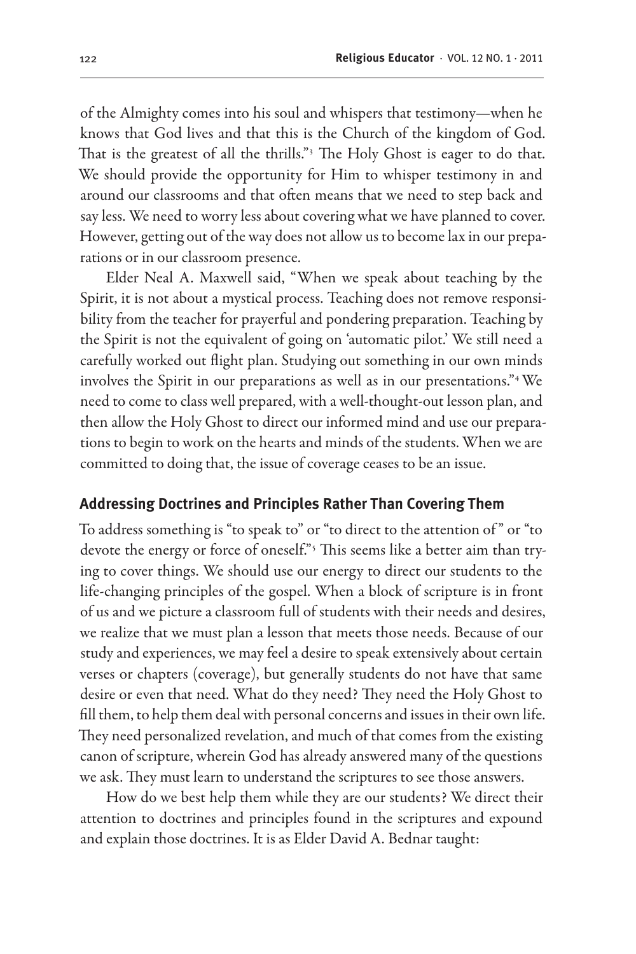of the Almighty comes into his soul and whispers that testimony—when he knows that God lives and that this is the Church of the kingdom of God. That is the greatest of all the thrills."3 The Holy Ghost is eager to do that. We should provide the opportunity for Him to whisper testimony in and around our classrooms and that often means that we need to step back and say less. We need to worry less about covering what we have planned to cover. However, getting out of the way does not allow us to become lax in our preparations or in our classroom presence.

Elder Neal A. Maxwell said, "When we speak about teaching by the Spirit, it is not about a mystical process. Teaching does not remove responsibility from the teacher for prayerful and pondering preparation. Teaching by the Spirit is not the equivalent of going on 'automatic pilot.' We still need a carefully worked out flight plan. Studying out something in our own minds involves the Spirit in our preparations as well as in our presentations."4 We need to come to class well prepared, with a well-thought-out lesson plan, and then allow the Holy Ghost to direct our informed mind and use our preparations to begin to work on the hearts and minds of the students. When we are committed to doing that, the issue of coverage ceases to be an issue.

#### **Addressing Doctrines and Principles Rather Than Covering Them**

To address something is "to speak to" or "to direct to the attention of " or "to devote the energy or force of oneself."5 This seems like a better aim than trying to cover things. We should use our energy to direct our students to the life-changing principles of the gospel. When a block of scripture is in front of us and we picture a classroom full of students with their needs and desires, we realize that we must plan a lesson that meets those needs. Because of our study and experiences, we may feel a desire to speak extensively about certain verses or chapters (coverage), but generally students do not have that same desire or even that need. What do they need? They need the Holy Ghost to fill them, to help them deal with personal concerns and issues in their own life. They need personalized revelation, and much of that comes from the existing canon of scripture, wherein God has already answered many of the questions we ask. They must learn to understand the scriptures to see those answers.

How do we best help them while they are our students? We direct their attention to doctrines and principles found in the scriptures and expound and explain those doctrines. It is as Elder David A. Bednar taught: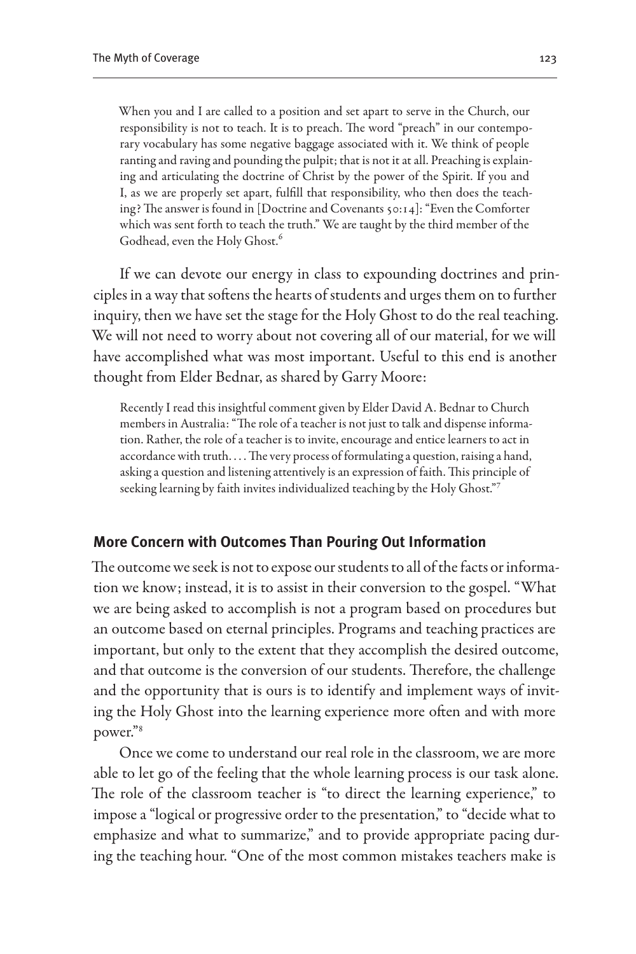When you and I are called to a position and set apart to serve in the Church, our responsibility is not to teach. It is to preach. The word "preach" in our contemporary vocabulary has some negative baggage associated with it. We think of people ranting and raving and pounding the pulpit; that is not it at all. Preaching is explaining and articulating the doctrine of Christ by the power of the Spirit. If you and I, as we are properly set apart, fulfill that responsibility, who then does the teaching? The answer is found in [Doctrine and Covenants 50:14]: "Even the Comforter which was sent forth to teach the truth." We are taught by the third member of the Godhead, even the Holy Ghost.<sup>6</sup>

If we can devote our energy in class to expounding doctrines and principles in a way that softens the hearts of students and urges them on to further inquiry, then we have set the stage for the Holy Ghost to do the real teaching. We will not need to worry about not covering all of our material, for we will have accomplished what was most important. Useful to this end is another thought from Elder Bednar, as shared by Garry Moore:

Recently I read this insightful comment given by Elder David A. Bednar to Church members in Australia: "The role of a teacher is not just to talk and dispense information. Rather, the role of a teacher is to invite, encourage and entice learners to act in accordance with truth. . . . The very process of formulating a question, raising a hand, asking a question and listening attentively is an expression of faith. This principle of seeking learning by faith invites individualized teaching by the Holy Ghost."7

#### **More Concern with Outcomes Than Pouring Out Information**

The outcome we seek is not to expose our students to all of the facts or information we know; instead, it is to assist in their conversion to the gospel. "What we are being asked to accomplish is not a program based on procedures but an outcome based on eternal principles. Programs and teaching practices are important, but only to the extent that they accomplish the desired outcome, and that outcome is the conversion of our students. Therefore, the challenge and the opportunity that is ours is to identify and implement ways of inviting the Holy Ghost into the learning experience more often and with more power."8

Once we come to understand our real role in the classroom, we are more able to let go of the feeling that the whole learning process is our task alone. The role of the classroom teacher is "to direct the learning experience," to impose a "logical or progressive order to the presentation," to "decide what to emphasize and what to summarize," and to provide appropriate pacing during the teaching hour. "One of the most common mistakes teachers make is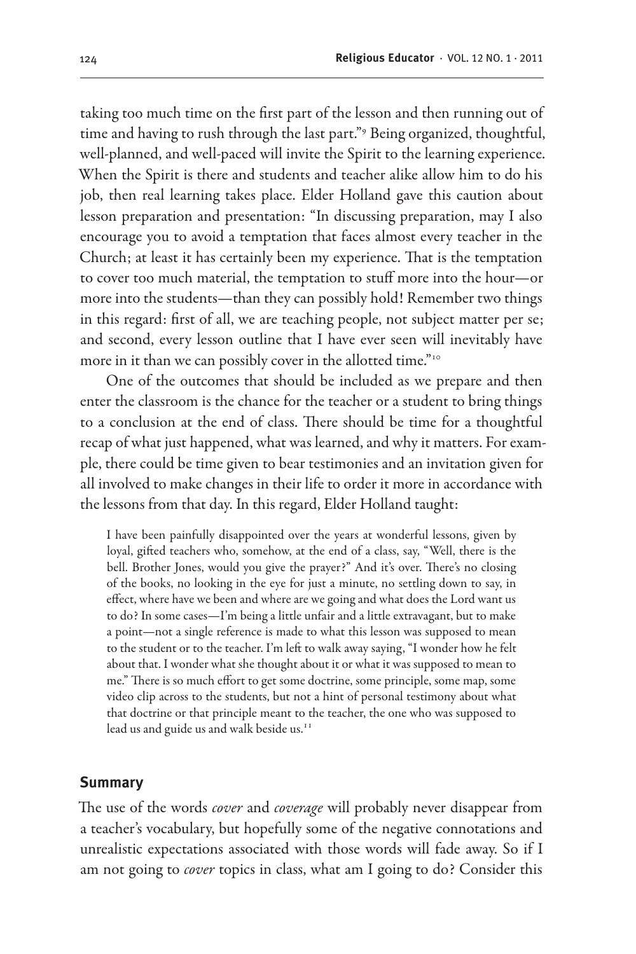taking too much time on the first part of the lesson and then running out of time and having to rush through the last part."<sup>9</sup> Being organized, thoughtful, well-planned, and well-paced will invite the Spirit to the learning experience. When the Spirit is there and students and teacher alike allow him to do his job, then real learning takes place. Elder Holland gave this caution about lesson preparation and presentation: "In discussing preparation, may I also encourage you to avoid a temptation that faces almost every teacher in the Church; at least it has certainly been my experience. That is the temptation to cover too much material, the temptation to stuff more into the hour—or more into the students—than they can possibly hold! Remember two things in this regard: first of all, we are teaching people, not subject matter per se; and second, every lesson outline that I have ever seen will inevitably have more in it than we can possibly cover in the allotted time."<sup>10</sup>

One of the outcomes that should be included as we prepare and then enter the classroom is the chance for the teacher or a student to bring things to a conclusion at the end of class. There should be time for a thoughtful recap of what just happened, what was learned, and why it matters. For example, there could be time given to bear testimonies and an invitation given for all involved to make changes in their life to order it more in accordance with the lessons from that day. In this regard, Elder Holland taught:

I have been painfully disappointed over the years at wonderful lessons, given by loyal, gifted teachers who, somehow, at the end of a class, say, "Well, there is the bell. Brother Jones, would you give the prayer?" And it's over. There's no closing of the books, no looking in the eye for just a minute, no settling down to say, in effect, where have we been and where are we going and what does the Lord want us to do? In some cases—I'm being a little unfair and a little extravagant, but to make a point—not a single reference is made to what this lesson was supposed to mean to the student or to the teacher. I'm left to walk away saying, "I wonder how he felt about that. I wonder what she thought about it or what it was supposed to mean to me." There is so much effort to get some doctrine, some principle, some map, some video clip across to the students, but not a hint of personal testimony about what that doctrine or that principle meant to the teacher, the one who was supposed to lead us and guide us and walk beside us.<sup>11</sup>

#### **Summary**

The use of the words *cover* and *coverage* will probably never disappear from a teacher's vocabulary, but hopefully some of the negative connotations and unrealistic expectations associated with those words will fade away. So if I am not going to *cover* topics in class, what am I going to do? Consider this